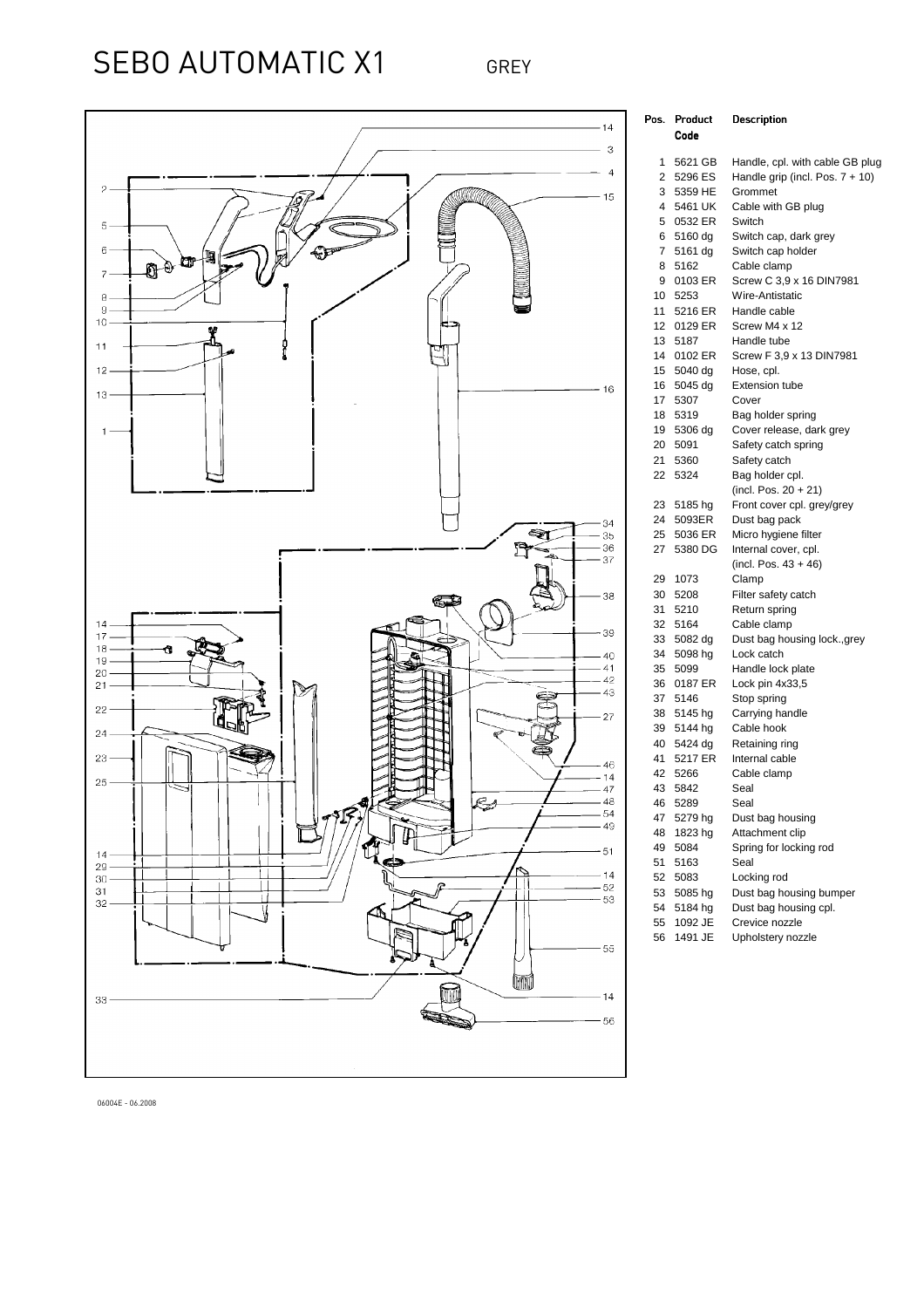## SEBO AUTOMATIC X1 GREY



| Pos.     | Product            | Description                                                        |
|----------|--------------------|--------------------------------------------------------------------|
|          | Code               |                                                                    |
|          |                    |                                                                    |
| 1<br>2   | 5621 GB<br>5296 ES | Handle, cpl. with cable GB plug<br>Handle grip (incl. Pos. 7 + 10) |
| 3        | 5359 HE            | Grommet                                                            |
| 4        | 5461 UK            |                                                                    |
| 5        | 0532 ER            | Cable with GB plug<br>Switch                                       |
| 6        | 5160 dg            |                                                                    |
| 7        | 5161 dg            | Switch cap, dark grey<br>Switch cap holder                         |
| 8        | 5162               | Cable clamp                                                        |
| 9        | 0103 ER            | Screw C 3,9 x 16 DIN7981                                           |
| 10       | 5253               | Wire-Antistatic                                                    |
| 11       | 5216 ER            | Handle cable                                                       |
| 12       | 0129 ER            | Screw M4 x 12                                                      |
| 13       | 5187               | Handle tube                                                        |
| 14       | 0102 ER            | Screw F 3,9 x 13 DIN7981                                           |
| 15       | 5040 dg            | Hose, cpl.                                                         |
| 16       | 5045 dg            | <b>Extension tube</b>                                              |
| 17       | 5307               | Cover                                                              |
| 18       | 5319               | Bag holder spring                                                  |
| 19       | 5306 dg            | Cover release, dark grey                                           |
| 20       | 5091               | Safety catch spring                                                |
| 21       | 5360               | Safety catch                                                       |
| 22       | 5324               | Bag holder cpl.                                                    |
|          |                    | (incl. Pos. $20 + 21$ )                                            |
| 23       | 5185 hg            | Front cover cpl. grey/grey                                         |
| 24       | 5093ER             | Dust bag pack                                                      |
| 25       | 5036 ER            | Micro hygiene filter                                               |
| 27       | 5380 DG            | Internal cover, cpl.                                               |
|          |                    | (incl. Pos. $43 + 46$ )                                            |
| 29       | 1073               | Clamp                                                              |
| 30       | 5208               | Filter safety catch                                                |
| 31       | 5210               | Return spring                                                      |
| 32       | 5164               | Cable clamp                                                        |
| 33       | 5082 dg            | Dust bag housing lock., grey                                       |
| 34       | 5098 hg            | Lock catch                                                         |
| 35       | 5099               | Handle lock plate                                                  |
| 36       | 0187 ER            | Lock pin 4x33,5                                                    |
| 37<br>38 | 5146               | Stop spring                                                        |
|          | 5145 hg            | Carrying handle                                                    |
| 39<br>40 | 5144 hg<br>5424 dg | Cable hook                                                         |
| 41       | 5217 ER            | Retaining ring<br>Internal cable                                   |
| 42       | 5266               | Cable clamp                                                        |
| 43       | 5842               | Seal                                                               |
| 46       | 5289               | Seal                                                               |
| 47       | 5279 hg            | Dust bag housing                                                   |
| 48       | 1823 hg            | Attachment clip                                                    |
| 49       | 5084               | Spring for locking rod                                             |
| 51       | 5163               | Seal                                                               |
| 52       | 5083               | Locking rod                                                        |
| 53       | 5085 hg            | Dust bag housing bumper                                            |
| 54       | 5184 hg            | Dust bag housing cpl.                                              |
| 55       | 1092 JE            | Crevice nozzle                                                     |
| 56       | 1491 JE            | Upholstery nozzle                                                  |

06004E - 06.2008